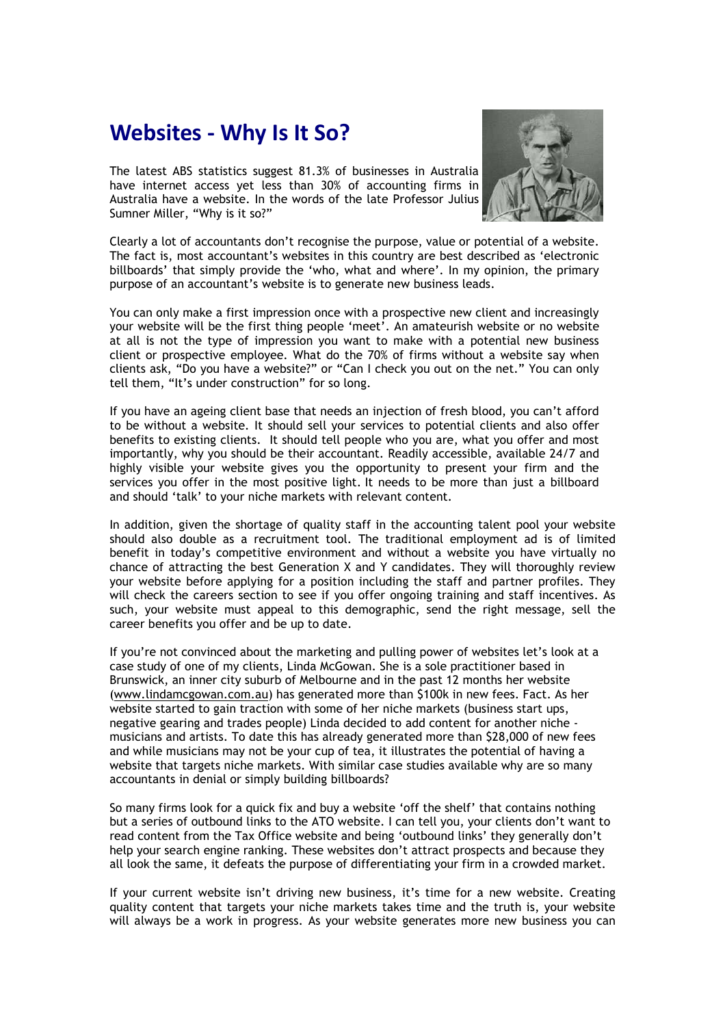## **Websites - Why Is It So?**

The latest ABS statistics suggest 81.3% of businesses in Australia have internet access yet less than 30% of accounting firms in Australia have a website. In the words of the late Professor Julius Sumner Miller, "Why is it so?"



Clearly a lot of accountants don't recognise the purpose, value or potential of a website. The fact is, most accountant's websites in this country are best described as 'electronic billboards' that simply provide the 'who, what and where'. In my opinion, the primary purpose of an accountant's website is to generate new business leads.

You can only make a first impression once with a prospective new client and increasingly your website will be the first thing people 'meet'. An amateurish website or no website at all is not the type of impression you want to make with a potential new business client or prospective employee. What do the 70% of firms without a website say when clients ask, "Do you have a website?" or "Can I check you out on the net." You can only tell them, "It's under construction" for so long.

If you have an ageing client base that needs an injection of fresh blood, you can't afford to be without a website. It should sell your services to potential clients and also offer benefits to existing clients. It should tell people who you are, what you offer and most importantly, why you should be their accountant. Readily accessible, available 24/7 and highly visible your website gives you the opportunity to present your firm and the services you offer in the most positive light. It needs to be more than just a billboard and should 'talk' to your niche markets with relevant content.

In addition, given the shortage of quality staff in the accounting talent pool your website should also double as a recruitment tool. The traditional employment ad is of limited benefit in today's competitive environment and without a website you have virtually no chance of attracting the best Generation X and Y candidates. They will thoroughly review your website before applying for a position including the staff and partner profiles. They will check the careers section to see if you offer ongoing training and staff incentives. As such, your website must appeal to this demographic, send the right message, sell the career benefits you offer and be up to date.

If you're not convinced about the marketing and pulling power of websites let's look at a case study of one of my clients, Linda McGowan. She is a sole practitioner based in Brunswick, an inner city suburb of Melbourne and in the past 12 months her website (www.lindamcgowan.com.au) has generated more than \$100k in new fees. Fact. As her website started to gain traction with some of her niche markets (business start ups, negative gearing and trades people) Linda decided to add content for another niche musicians and artists. To date this has already generated more than \$28,000 of new fees and while musicians may not be your cup of tea, it illustrates the potential of having a website that targets niche markets. With similar case studies available why are so many accountants in denial or simply building billboards?

So many firms look for a quick fix and buy a website 'off the shelf' that contains nothing but a series of outbound links to the ATO website. I can tell you, your clients don't want to read content from the Tax Office website and being 'outbound links' they generally don't help your search engine ranking. These websites don't attract prospects and because they all look the same, it defeats the purpose of differentiating your firm in a crowded market.

If your current website isn't driving new business, it's time for a new website. Creating quality content that targets your niche markets takes time and the truth is, your website will always be a work in progress. As your website generates more new business you can